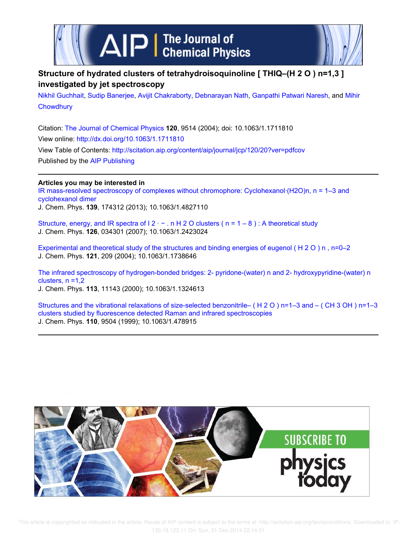



# **Structure of hydrated clusters of tetrahydroisoquinoline [ THIQ–(H 2 O ) n=1,3 ] investigated by jet spectroscopy**

Nikhil Guchhait, Sudip Banerjee, Avijit Chakraborty, Debnarayan Nath, Ganpathi Patwari Naresh, and Mihir **Chowdhury** 

Citation: The Journal of Chemical Physics **120**, 9514 (2004); doi: 10.1063/1.1711810 View online: http://dx.doi.org/10.1063/1.1711810 View Table of Contents: http://scitation.aip.org/content/aip/journal/jcp/120/20?ver=pdfcov Published by the AIP Publishing

### **Articles you may be interested in**

IR mass-resolved spectroscopy of complexes without chromophore: Cyclohexanol·(H2O)n, n = 1–3 and cyclohexanol dimer J. Chem. Phys. **139**, 174312 (2013); 10.1063/1.4827110

Structure, energy, and IR spectra of  $12 - n$  H 2 O clusters ( $n = 1 - 8$ ): A theoretical study J. Chem. Phys. **126**, 034301 (2007); 10.1063/1.2423024

Experimental and theoretical study of the structures and binding energies of eugenol ( H 2 O ) n , n=0–2 J. Chem. Phys. **121**, 209 (2004); 10.1063/1.1738646

The infrared spectroscopy of hydrogen-bonded bridges: 2- pyridone-(water) n and 2- hydroxypyridine-(water) n clusters,  $n = 1,2$ J. Chem. Phys. **113**, 11143 (2000); 10.1063/1.1324613

Structures and the vibrational relaxations of size-selected benzonitrile– ( H 2 O ) n=1–3 and – ( CH 3 OH ) n=1–3 clusters studied by fluorescence detected Raman and infrared spectroscopies J. Chem. Phys. **110**, 9504 (1999); 10.1063/1.478915

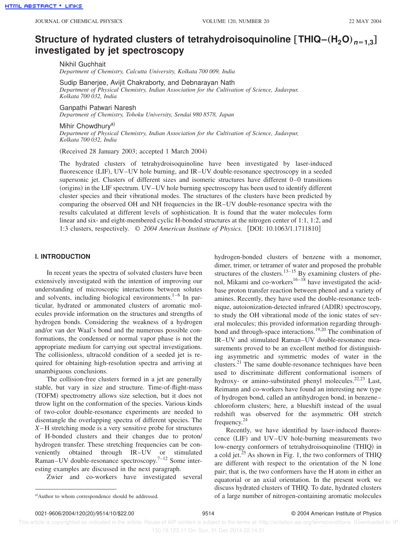# **Structure of hydrated clusters of tetrahydroisoquinoline**  $[\text{THIQ}-(\text{H}_2\text{O})_{n=1,3}]$ **investigated by jet spectroscopy**

Nikhil Guchhait *Department of Chemistry, Calcutta University, Kolkata 700 009, India*

Sudip Banerjee, Avijit Chakraborty, and Debnarayan Nath *Department of Physical Chemistry, Indian Association for the Cultivation of Science, Jadavpur, Kolkata 700 032, India*

Ganpathi Patwari Naresh

*Department of Chemistry, Tohoku University, Sendai 980 8578, Japan*

Mihir Chowdhurv<sup>a)</sup> *Department of Physical Chemistry, Indian Association for the Cultivation of Science, Jadavpur, Kolkata 700 032, India*

(Received 28 January 2003; accepted 1 March 2004)

The hydrated clusters of tetrahydroisoquinoline have been investigated by laser-induced fluorescence (LIF), UV–UV hole burning, and IR–UV double-resonance spectroscopy in a seeded supersonic jet. Clusters of different sizes and isomeric structures have different 0–0 transitions (origins) in the LIF spectrum. UV–UV hole burning spectroscopy has been used to identify different cluster species and their vibrational modes. The structures of the clusters have been predicted by comparing the observed OH and NH frequencies in the IR–UV double-resonance spectra with the results calculated at different levels of sophistication. It is found that the water molecules form linear and six- and eight-membered cyclic H-bonded structures at the nitrogen center of 1:1, 1:2, and 1:3 clusters, respectively.  $\odot$  2004 American Institute of Physics. [DOI: 10.1063/1.1711810]

#### **I. INTRODUCTION**

In recent years the spectra of solvated clusters have been extensively investigated with the intention of improving our understanding of microscopic interactions between solutes and solvents, including biological environments. $1-6$  In particular, hydrated or ammonated clusters of aromatic molecules provide information on the structures and strengths of hydrogen bonds. Considering the weakness of a hydrogen and/or van der Waal's bond and the numerous possible conformations, the condensed or normal vapor phase is not the appropriate medium for carrying out spectral investigations. The collisionless, ultracold condition of a seeded jet is required for obtaining high-resolution spectra and arriving at unambiguous conclusions.

The collision-free clusters formed in a jet are generally stable, but vary in size and structure. Time-of-flight-mass (TOFM) spectrometry allows size selection, but it does not throw light on the conformation of the species. Various kinds of two-color double-resonance experiments are needed to disentangle the overlapping spectra of different species. The *X*– H stretching mode is a very sensitive probe for structures of H-bonded clusters and their changes due to proton/ hydrogen transfer. These stretching frequencies can be conveniently obtained through IR–UV or stimulated Raman–UV double-resonance spectroscopy.<sup>7–12</sup> Some interesting examples are discussed in the next paragraph.

Zwier and co-workers have investigated several

hydrogen-bonded clusters of benzene with a monomer, dimer, trimer, or tetramer of water and proposed the probable structures of the clusters.<sup>13–15</sup> By examining clusters of phenol, Mikami and co-workers<sup>16–18</sup> have investigated the acidbase proton transfer reaction between phenol and a variety of amines. Recently, they have used the double-resonance technique, autoionization-detected infrared (ADIR) spectroscopy, to study the OH vibrational mode of the ionic states of several molecules; this provided information regarding throughbond and through-space interactions.<sup>19,20</sup> The combination of IR–UV and stimulated Raman–UV double-resonance measurements proved to be an excellent method for distinguishing asymmetric and symmetric modes of water in the clusters.<sup>21</sup> The same double-resonance techniques have been used to discriminate different conformational isomers of hydroxy- or amino-substituted phenyl molecules.<sup>22,23</sup> Last, Reimann and co-workers have found an interesting new type of hydrogen bond, called an antihydrogen bond, in benzene– chloroform clusters; here, a blueshift instead of the usual redshift was observed for the asymmetric OH stretch frequency.<sup>24</sup>

Recently, we have identified by laser-induced fluorescence (LIF) and UV–UV hole-burning measurements two low-energy conformers of tetrahydroisoquinoline (THIQ) in a cold jet. $^{25}$  As shown in Fig. 1, the two conformers of THIQ are different with respect to the orientation of the N lone pair; that is, the two conformers have the H atom in either an equatorial or an axial orientation. In the present work we discuss hydrated clusters of THIQ. To date, hydrated clusters a)Author to whom correspondence should be addressed.  $\qquad \qquad$  of a large number of nitrogen-containing aromatic molecules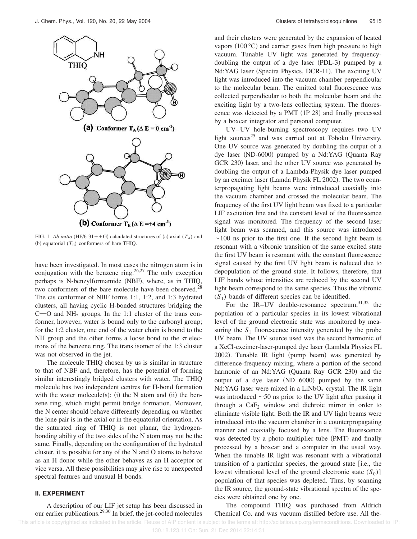

FIG. 1. *Ab initio* (HF/6-31++G) calculated structures of (a) axial ( $T_A$ ) and (b) equatorial  $(T_E)$  conformers of bare THIQ.

have been investigated. In most cases the nitrogen atom is in conjugation with the benzene ring.<sup>26,27</sup> The only exception perhaps is N-benzylformamide (NBF), where, as in THIQ, two conformers of the bare molecule have been observed.<sup>28</sup> The cis conformer of NBF forms 1:1, 1:2, and 1:3 hydrated clusters, all having cyclic H-bonded structures bridging the  $C=O$  and  $NH_2$  groups. In the 1:1 cluster of the trans conformer, however, water is bound only to the carbonyl group; for the 1:2 cluster, one end of the water chain is bound to the NH group and the other forms a loose bond to the  $\pi$  electrons of the benzene ring. The trans isomer of the 1:3 cluster was not observed in the jet.

The molecule THIQ chosen by us is similar in structure to that of NBF and, therefore, has the potential of forming similar interestingly bridged clusters with water. The THIQ molecule has two independent centres for H-bond formation with the water molecule(s): (i) the N atom and (ii) the benzene ring, which might permit bridge formation. Moreover, the N center should behave differently depending on whether the lone pair is in the axial or in the equatorial orientation. As the saturated ring of THIQ is not planar, the hydrogenbonding ability of the two sides of the N atom may not be the same. Finally, depending on the configuration of the hydrated cluster, it is possible for any of the N and O atoms to behave as an H donor while the other behaves as an H acceptor or vice versa. All these possibilities may give rise to unexpected spectral features and unusual H bonds.

### **II. EXPERIMENT**

A description of our LIF jet setup has been discussed in our earlier publications.29,30 In brief, the jet-cooled molecules and their clusters were generated by the expansion of heated vapors  $(100 °C)$  and carrier gases from high pressure to high vacuum. Tunable UV light was generated by frequencydoubling the output of a dye laser  $(PDL-3)$  pumped by a Nd:YAG laser (Spectra Physics, DCR-11). The exciting UV light was introduced into the vacuum chamber perpendicular to the molecular beam. The emitted total fluorescence was collected perpendicular to both the molecular beam and the exciting light by a two-lens collecting system. The fluorescence was detected by a PMT  $(1P 28)$  and finally processed by a boxcar integrator and personal computer.

UV–UV hole-burning spectroscopy requires two UV light sources<sup>25</sup> and was carried out at Tohoku University. One UV source was generated by doubling the output of a dye laser (ND-6000) pumped by a Nd:YAG (Quanta Ray GCR 230) laser, and the other UV source was generated by doubling the output of a Lambda-Physik dye laser pumped by an excimer laser (Lamda Physik FL 2002). The two counterpropagating light beams were introduced coaxially into the vacuum chamber and crossed the molecular beam. The frequency of the first UV light beam was fixed to a particular LIF excitation line and the constant level of the fluorescence signal was monitored. The frequency of the second laser light beam was scanned, and this source was introduced  $\sim$ 100 ns prior to the first one. If the second light beam is resonant with a vibronic transition of the same excited state the first UV beam is resonant with, the constant fluorescence signal caused by the first UV light beam is reduced due to depopulation of the ground state. It follows, therefore, that LIF bands whose intensities are reduced by the second UV light beam correspond to the same species. Thus the vibronic  $(S_1)$  bands of different species can be identified.

For the IR–UV double-resonance spectrum,  $31,32$  the population of a particular species in its lowest vibrational level of the ground electronic state was monitored by measuring the  $S_1$  fluorescence intensity generated by the probe UV beam. The UV source used was the second harmonic of a XeCl-excimer-laser-pumped dye laser (Lambda Physics FL  $2002$ ). Tunable IR light (pump beam) was generated by difference-frequency mixing, where a portion of the second harmonic of an Nd:YAG (Quanta Ray GCR 230) and the output of a dye laser  $(ND 6000)$  pumped by the same Nd:YAG laser were mixed in a  $LiNbO<sub>3</sub>$  crystal. The IR light was introduced  $\sim$  50 ns prior to the UV light after passing it through a  $CaF<sub>2</sub>$  window and dichroic mirror in order to eliminate visible light. Both the IR and UV light beams were introduced into the vacuum chamber in a counterpropagating manner and coaxially focused by a lens. The fluorescence was detected by a photo multiplier tube (PMT) and finally processed by a boxcar and a computer in the usual way. When the tunable IR light was resonant with a vibrational transition of a particular species, the ground state  $[$ i.e., the lowest vibrational level of the ground electronic state  $(S_0)$ ] population of that species was depleted. Thus, by scanning the IR source, the ground-state vibrational spectra of the species were obtained one by one.

The compound THIQ was purchased from Aldrich Chemical Co. and was vacuum distilled before use. All the-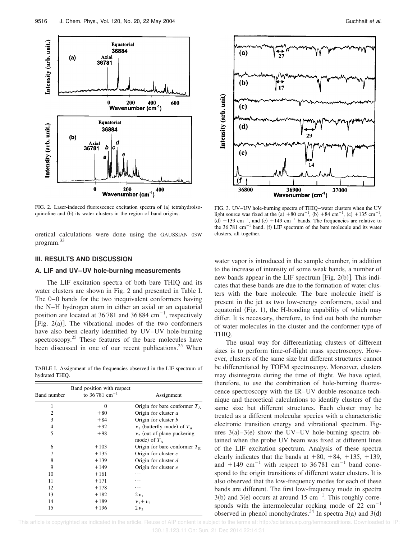

FIG. 2. Laser-induced fluorescence excitation spectra of (a) tetrahydroisoquinoline and (b) its water clusters in the region of band origins.

oretical calculations were done using the GAUSSIAN 03W program.<sup>33</sup>

#### **III. RESULTS AND DISCUSSION**

#### **A. LIF and UV–UV hole-burning measurements**

The LIF excitation spectra of both bare THIQ and its water clusters are shown in Fig. 2 and presented in Table I. The 0–0 bands for the two inequivalent conformers having the N–H hydrogen atom in either an axial or an equatorial position are located at  $36781$  and  $36884$  cm<sup>-1</sup>, respectively [Fig.  $2(a)$ ]. The vibrational modes of the two conformers have also been clearly identified by UV–UV hole-burning spectroscopy.<sup>25</sup> These features of the bare molecules have been discussed in one of our recent publications.<sup>25</sup> When

TABLE I. Assignment of the frequencies observed in the LIF spectrum of hydrated THIQ.

| Band number | Band position with respect<br>to 36.781 cm <sup>-1</sup> | Assignment                                          |  |  |
|-------------|----------------------------------------------------------|-----------------------------------------------------|--|--|
| 1           | $\Omega$                                                 | Origin for bare conformer $T_A$                     |  |  |
| 2           | $+80$                                                    | Origin for cluster a                                |  |  |
| 3           | $+84$                                                    | Origin for cluster b                                |  |  |
| 4           | $+92$                                                    | $\nu_1$ (butterfly mode) of $T_A$                   |  |  |
| 5           | $+98$                                                    | $\nu_{2}$ (out-of-plane puckering<br>mode) of $T_A$ |  |  |
| 6           | $+103$                                                   | Origin for bare conformer $T_F$                     |  |  |
| 7           | $+135$                                                   | Origin for cluster $c$                              |  |  |
| 8           | $+139$                                                   | Origin for cluster d                                |  |  |
| 9           | $+149$                                                   | Origin for cluster e                                |  |  |
| 10          | $+161$                                                   |                                                     |  |  |
| 11          | $+171$                                                   |                                                     |  |  |
| 12          | $+178$                                                   |                                                     |  |  |
| 13          | $+182$                                                   | $2\nu_1$                                            |  |  |
| 14          | $+189$                                                   | $v_1 + v_2$                                         |  |  |
| 15          | $+196$                                                   | $2\nu$                                              |  |  |



FIG. 3. UV–UV hole-burning spectra of THIQ–water clusters when the UV light source was fixed at the (a) +80 cm<sup>-1</sup>, (b) +84 cm<sup>-1</sup>, (c) +135 cm<sup>-1</sup>,  $(d)$  +139 cm<sup>-1</sup>, and (e) +149 cm<sup>-1</sup> bands. The frequencies are relative to the 36 781 cm<sup> $-1$ </sup> band. (f) LIF spectrum of the bare molecule and its water clusters, all together.

water vapor is introduced in the sample chamber, in addition to the increase of intensity of some weak bands, a number of new bands appear in the LIF spectrum [Fig.  $2(b)$ ]. This indicates that these bands are due to the formation of water clusters with the bare molecule. The bare molecule itself is present in the jet as two low-energy conformers, axial and equatorial (Fig. 1), the H-bonding capability of which may differ. It is necessary, therefore, to find out both the number of water molecules in the cluster and the conformer type of THIQ.

The usual way for differentiating clusters of different sizes is to perform time-of-flight mass spectroscopy. However, clusters of the same size but different structures cannot be differentiated by TOFM spectroscopy. Moreover, clusters may disintegrate during the time of flight. We have opted, therefore, to use the combination of hole-burning fluorescence spectroscopy with the IR–UV double-resonance technique and theoretical calculations to identify clusters of the same size but different structures. Each cluster may be treated as a different molecular species with a characteristic electronic transition energy and vibrational spectrum. Figures  $3(a)-3(e)$  show the UV–UV hole-burning spectra obtained when the probe UV beam was fixed at different lines of the LIF excitation spectrum. Analysis of these spectra clearly indicates that the bands at  $+80$ ,  $+84$ ,  $+135$ ,  $+139$ , and  $+149$  cm<sup>-1</sup> with respect to 36 781 cm<sup>-1</sup> band correspond to the origin transitions of different water clusters. It is also observed that the low-frequency modes for each of these bands are different. The first low-frequency mode in spectra 3(b) and 3(e) occurs at around 15 cm<sup>-1</sup>. This roughly corresponds with the intermolecular rocking mode of  $22 \text{ cm}^{-1}$ observed in phenol monohydrates.<sup>34</sup> In spectra 3(a) and 3(d)

 This article is copyrighted as indicated in the article. Reuse of AIP content is subject to the terms at: http://scitation.aip.org/termsconditions. Downloaded to IP: 130.18.123.11 On: Sun, 21 Dec 2014 22:14:31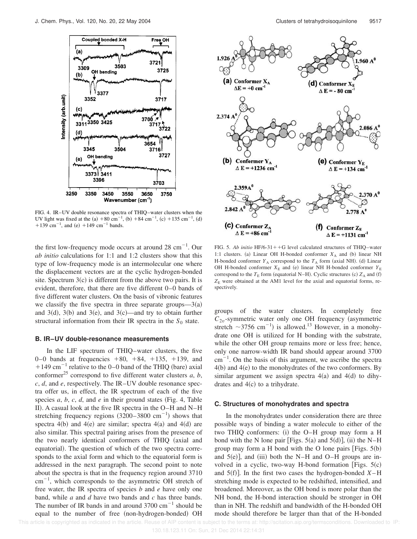

FIG. 4. IR–UV double resonance spectra of THIQ–water clusters when the UV light was fixed at the (a)  $+80 \text{ cm}^{-1}$ , (b)  $+84 \text{ cm}^{-1}$ , (c)  $+135 \text{ cm}^{-1}$ , (d) +139 cm<sup>-1</sup>, and (e) +149 cm<sup>-1</sup> bands.

the first low-frequency mode occurs at around  $28 \text{ cm}^{-1}$ . Our *ab initio* calculations for 1:1 and 1:2 clusters show that this type of low-frequency mode is an intermolecular one where the displacement vectors are at the cyclic hydrogen-bonded site. Spectrum  $3(c)$  is different from the above two pairs. It is evident, therefore, that there are five different 0–0 bands of five different water clusters. On the basis of vibronic features we classify the five spectra in three separate groups— $3(a)$ and  $3(d)$ ,  $3(b)$  and  $3(e)$ , and  $3(c)$ —and try to obtain further structural information from their IR spectra in the  $S_0$  state.

#### **B. IR–UV double-resonance measurements**

In the LIF spectrum of THIQ–water clusters, the five 0–0 bands at frequencies  $+80, +84, +135, +139,$  and  $+149$  cm<sup>-1</sup> relative to the 0–0 band of the THIQ (bare) axial conformer<sup>25</sup> correspond to five different water clusters  $a, b$ , *c*, *d*, and *e*, respectively. The IR–UV double resonance spectra offer us, in effect, the IR spectrum of each of the five species  $a, b, c, d$ , and  $e$  in their ground states (Fig. 4, Table II). A casual look at the five IR spectra in the  $O-H$  and  $N-H$ stretching frequency regions  $(3200-3800 \text{ cm}^{-1})$  shows that spectra  $4(b)$  and  $4(e)$  are similar; spectra  $4(a)$  and  $4(d)$  are also similar. This spectral pairing arises from the presence of the two nearly identical conformers of THIQ (axial and equatorial). The question of which of the two spectra corresponds to the axial form and which to the equatorial form is addressed in the next paragraph. The second point to note about the spectra is that in the frequency region around 3710  $\text{cm}^{-1}$ , which corresponds to the asymmetric OH stretch of free water, the IR spectra of species *b* and *e* have only one band, while *a* and *d* have two bands and *c* has three bands. The number of IR bands in and around  $3700 \text{ cm}^{-1}$  should be equal to the number of free (non-hydrogen-bonded) OH



FIG. 5. *Ab initio* HF/6-31++G level calculated structures of THIQ–water 1:1 clusters. (a) Linear OH H-bonded conformer  $X_A$  and (b) linear NH H-bonded conformer  $Y_A$  correspond to the  $T_A$  form (axial NH). (d) Linear OH H-bonded conformer  $X_{\rm E}$  and (e) linear NH H-bonded conformer  $Y_{\rm E}$ correspond to the  $T_E$  form (equatorial N–H). Cyclic structures (c)  $Z_A$  and (f)  $Z<sub>E</sub>$  were obtained at the AM1 level for the axial and equatorial forms, respectively.

groups of the water clusters. In completely free  $C_{2v}$ -symmetric water only one OH frequency (asymmetric stretch  $\sim$ 3756 cm<sup>-1</sup>) is allowed.<sup>13</sup> However, in a monohydrate one OH is utilized for H bonding with the substrate, while the other OH group remains more or less free; hence, only one narrow-width IR band should appear around 3700  $cm^{-1}$ . On the basis of this argument, we ascribe the spectra  $4(b)$  and  $4(e)$  to the monohydrates of the two conformers. By similar argument we assign spectra  $4(a)$  and  $4(d)$  to dihydrates and  $4(c)$  to a trihydrate.

#### **C. Structures of monohydrates and spectra**

In the monohydrates under consideration there are three possible ways of binding a water molecule to either of the two THIQ conformers:  $(i)$  the O–H group may form a H bond with the N lone pair [Figs.  $5(a)$  and  $5(d)$ ], (ii) the N–H group may form a H bond with the O lone pairs [Figs.  $5(b)$ ] and  $5(e)$ ], and (iii) both the N–H and O–H groups are involved in a cyclic, two-way H-bond formation [Figs.  $5(c)$ ] and  $5(f)$ . In the first two cases the hydrogen-bonded  $X-H$ stretching mode is expected to be redshifted, intensified, and broadened. Moreover, as the OH bond is more polar than the NH bond, the H-bond interaction should be stronger in OH than in NH. The redshift and bandwidth of the H-bonded OH mode should therefore be larger than that of the H-bonded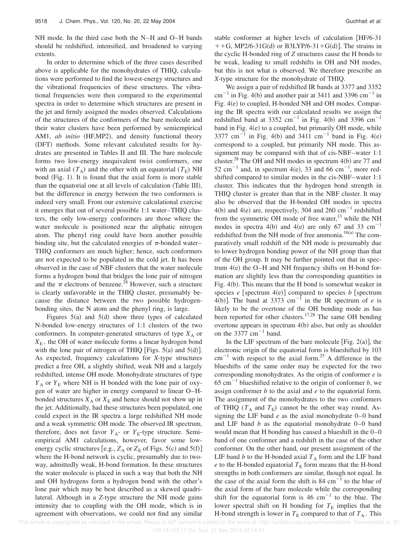NH mode. In the third case both the N–H and O–H bands should be redshifted, intensified, and broadened to varying extents.

In order to determine which of the three cases described above is applicable for the monohydrates of THIQ, calculations were performed to find the lowest-energy structures and the vibrational frequencies of these structures. The vibrational frequencies were then compared to the experimental spectra in order to determine which structures are present in the jet and firmly assigned the modes observed. Calculations of the structures of the conformers of the bare molecule and their water clusters have been performed by semiempirical AM1, *ab initio* (HF,MP2), and density functional theory (DFT) methods. Some relevant calculated results for hydrates are presented in Tables II and III. The bare molecule forms two low-energy inequivalent twist conformers, one with an axial  $(T_A)$  and the other with an equatorial  $(T_E)$  NH bond (Fig. 1). It is found that the axial form is more stable than the equatorial one at all levels of calculation (Table III), but the difference in energy between the two conformers is indeed very small. From our extensive calculational exercise it emerges that out of several possible 1:1 water–THIQ clusters, the only low-energy conformers are those where the water molecule is positioned near the aliphatic nitrogen atom. The phenyl ring could have been another possible binding site, but the calculated energies of  $\pi$ -bonded water– THIQ conformers are much higher; hence, such conformers are not expected to be populated in the cold jet. It has been observed in the case of NBF clusters that the water molecule forms a hydrogen bond that bridges the lone pair of nitrogen and the  $\pi$  electrons of benzene.<sup>28</sup> However, such a structure is clearly unfavorable in the THIQ cluster, presumably because the distance between the two possible hydrogenbonding sites, the N atom and the phenyl ring, is large.

Figures  $5(a)$  and  $5(d)$  show three types of calculated N-bonded low-energy structures of 1:1 clusters of the two conformers. In computer-generated structures of type  $X_A$  or *X*<sup>E</sup> , the OH of water molecule forms a linear hydrogen bond with the lone pair of nitrogen of THIQ [Figs.  $5(a)$  and  $5(d)$ ]. As expected, frequency calculations for *X*-type structures predict a free OH, a slightly shifted, weak NH and a largely redshifted, intense OH mode. Monohydrate structures of type  $Y_A$  or  $Y_E$  where NH is H bonded with the lone pair of oxygen of water are higher in energy compared to linear O–Hbonded structures  $X_A$  or  $X_E$  and hence should not show up in the jet. Additionally, had these structures been populated, one could expect in the IR spectra a large redshifted NH mode and a weak symmetric OH mode. The observed IR spectrum, therefore, does not favor  $Y_{A}$ - or  $Y_{E}$ -type structure. Semiempirical AM1 calculations, however, favor some lowenergy cyclic structures [e.g.,  $Z_A$  or  $Z_E$  of Figs. 5(c) and 5(f)] where the H-bond network is cyclic, presumably due to twoway, admittedly weak, H-bond formation. In these structures the water molecule is placed in such a way that both the NH and OH hydrogens form a hydrogen bond with the other's lone pair which may be best described as a skewed quadrilateral. Although in a *Z*-type structure the NH mode gains intensity due to coupling with the OH mode, which is in agreement with observations, we could not find any similar stable conformer at higher levels of calculation [HF/6-31]  $+$  + G, MP2/6-31G(d) or B3LYP/6-31+G(d)]. The strains in the cyclic H-bonded ring of *Z* structures cause the H bonds to be weak, leading to small redshifts in OH and NH modes, but this is not what is observed. We therefore prescribe an *X*-type structure for the monohydrate of THIQ.

We assign a pair of redshifted IR bands at 3377 and 3352  $cm^{-1}$  in Fig. 4(b) and another pair at 3411 and 3396 cm<sup>-1</sup> in Fig. 4(e) to coupled, H-bonded NH and OH modes. Comparing the IR spectra with our calculated results we assign the redshifted band at 3352 cm<sup>-1</sup> in Fig. 4(b) and 3396 cm<sup>-1</sup> band in Fig.  $4(e)$  to a coupled, but primarily OH mode, while 3377 cm<sup>-1</sup> in Fig. 4(b) and 3411 cm<sup>-1</sup> band in Fig. 4(e) correspond to a coupled, but primarily NH mode. This assignment may be compared with that of cis-NBF–water 1:1 cluster.<sup>28</sup> The OH and NH modes in spectrum  $4(b)$  are 77 and 52 cm<sup>-1</sup> and, in spectrum 4(e), 33 and 66 cm<sup>-1</sup>, more redshifted compared to similar modes in the cis-NBF–water 1:1 cluster. This indicates that the hydrogen bond strength in THIQ cluster is greater than that in the NBF cluster. It may also be observed that the H-bonded OH modes in spectra 4(b) and 4(e) are, respectively, 304 and 260 cm<sup>-1</sup> redshifted from the symmetric OH mode of free water, $^{13}$  while the NH modes in spectra 4(b) and 4(e) are only 67 and 33  $cm^{-1}$ redshifted from the NH mode of free ammonia.<sup>16(a)</sup> The comparatively small redshift of the NH mode is presumably due to lower hydrogen bonding power of the NH group than that of the OH group. It may be further pointed out that in spectrum  $4(e)$  the O–H and NH frequency shifts on H-bond formation are slightly less than the corresponding quantities in Fig.  $4(b)$ . This means that the H bond is somewhat weaker in species  $e$  [spectrum 4(e)] compared to species  $b$  [spectrum 4(b)]. The band at 3373 cm<sup>-1</sup> in the IR spectrum of *e* is likely to be the overtone of the OH bending mode as has been reported for other clusters.<sup>17,28</sup> The same OH bending overtone appears in spectrum  $4(b)$  also, but only as shoulder on the  $3377 \text{ cm}^{-1}$  band.

In the LIF spectrum of the bare molecule [Fig.  $2(a)$ ], the electronic origin of the equatorial form is blueshifted by 103  $cm^{-1}$  with respect to the axial form.<sup>25</sup> A difference in the blueshifts of the same order may be expected for the two corresponding monohydrates. As the origin of conformer *e* is  $65 \text{ cm}^{-1}$  blueshifted relative to the origin of conformer *b*, we assign conformer *b* to the axial and *e* to the equatorial form. The assignment of the monohydrates to the two conformers of THIQ ( $T_A$  and  $T_E$ ) cannot be the other way round. Assigning the LIF band *e* as the axial monohydrate 0–0 band and LIF band *b* as the equatorial monohydrate 0–0 band would mean that H bonding has caused a blueshift in the 0–0 band of one conformer and a redshift in the case of the other conformer. On the other hand, our present assignment of the LIF band *b* to the H-bonded axial  $T_A$  form and the LIF band *e* to the H-bonded equatorial  $T<sub>E</sub>$  form means that the H-bond strengths in both conformers are similar, though not equal. In the case of the axial form the shift is  $84 \text{ cm}^{-1}$  to the blue of the axial form of the bare molecule while the corresponding shift for the equatorial form is 46  $cm^{-1}$  to the blue. The lower spectral shift on H bonding for  $T<sub>E</sub>$  implies that the H-bond strength is lower in  $T<sub>E</sub>$  compared to that of  $T_A$ . This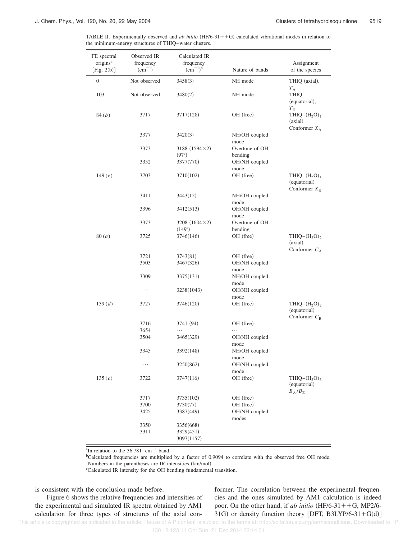TABLE II. Experimentally observed and  $ab$  initio  $(HF/6-31++G)$  calculated vibrational modes in relation to the minimum-energy structures of THIQ–water clusters.

| FE spectral<br>origins <sup>a</sup><br>$\lceil$ Fig. 2(b) $\rceil$ | Observed IR<br>frequency<br>$(cm^{-1})$ | Calculated IR<br>frequency<br>$(cm^{-1})^b$ | Nature of bands                        | Assignment<br>of the species                           |
|--------------------------------------------------------------------|-----------------------------------------|---------------------------------------------|----------------------------------------|--------------------------------------------------------|
| $\boldsymbol{0}$                                                   | Not observed                            | 3458(3)                                     | NH mode                                | THIQ (axial),<br>$T_{\rm A}$                           |
| 103                                                                | Not observed                            | 3480(2)                                     | NH mode                                | <b>THIQ</b><br>(equatorial),<br>$T_{\rm E}$            |
| 84( <i>b</i> )                                                     | 3717                                    | 3717(128)                                   | OH (free)                              | THIQ $-(H_2O)_1$<br>(axial)<br>Conformer $X_A$         |
|                                                                    | 3377                                    | 3420(3)                                     | NH/OH coupled<br>mode                  |                                                        |
|                                                                    | 3373                                    | $3188(1594\times2)$<br>$(97^{\circ})$       | Overtone of OH<br>bending              |                                                        |
|                                                                    | 3352                                    | 3377(770)                                   | OH/NH coupled<br>mode                  |                                                        |
| 149 $(e)$                                                          | 3703                                    | 3710(102)                                   | OH (free)                              | $THIQ-(H2O)1$<br>(equatorial)<br>Conformer $X_{\rm E}$ |
|                                                                    | 3411                                    | 3443(12)                                    | NH/OH coupled<br>mode                  |                                                        |
|                                                                    | 3396                                    | 3412(513)                                   | OH/NH coupled<br>mode                  |                                                        |
|                                                                    | 3373                                    | $3208(1604\times2)$<br>$(149^{\circ})$      | Overtone of OH<br>bending<br>OH (free) |                                                        |
| 80(a)                                                              | 3725                                    | 3746(146)                                   |                                        | $THIQ-(H2O)2$<br>(axial)<br>Conformer $C_A$            |
|                                                                    | 3721<br>3503                            | 3743(81)<br>3467(326)                       | OH (free)<br>OH/NH coupled             |                                                        |
|                                                                    |                                         |                                             | mode                                   |                                                        |
|                                                                    | 3309                                    | 3375(131)                                   | NH/OH coupled<br>mode                  |                                                        |
|                                                                    | $\cdots$                                | 3238(1043)                                  | OH/NH coupled<br>mode                  |                                                        |
| 139(d)                                                             | 3727                                    | 3746(120)                                   | OH (free)                              | THIQ $-(H_2O)_2$<br>(equatorial)<br>Conformer $C_E$    |
|                                                                    | 3716<br>3654                            | 3741 (94)<br>.                              | OH (free)<br>.                         |                                                        |
|                                                                    | 3504                                    | 3465(329)                                   | OH/NH coupled<br>mode                  |                                                        |
|                                                                    | 3345                                    | 3392(148)                                   | NH/OH coupled<br>mode                  |                                                        |
|                                                                    | $\cdots$                                | 3250(862)                                   | OH/NH coupled<br>mode                  |                                                        |
| 135 $(c)$                                                          | 3722                                    | 3747(116)                                   | OH (free)                              | $THIQ-(H, O)$<br>(equatorial)<br>$B_A/B_E$             |
|                                                                    | 3717                                    | 3735(102)                                   | OH (free)                              |                                                        |
|                                                                    | 3700<br>3425                            | 3730(77)<br>3387(449)                       | OH (free)<br>OH/NH coupled<br>modes    |                                                        |
|                                                                    | 3350<br>3311                            | 3356(668)<br>3329(451)<br>3097(1157)        |                                        |                                                        |

<sup>a</sup>In relation to the  $36781 - cm^{-1}$  band.

<sup>b</sup>Calculated frequencies are multiplied by a factor of 0.9094 to correlate with the observed free OH mode.

Numbers in the parentheses are IR intensities (km/mol).

<sup>c</sup>Calculated IR intensity for the OH bending fundamental transition.

is consistent with the conclusion made before.

Figure 6 shows the relative frequencies and intensities of the experimental and simulated IR spectra obtained by AM1 calculation for three types of structures of the axial conformer. The correlation between the experimental frequencies and the ones simulated by AM1 calculation is indeed poor. On the other hand, if *ab initio*  $(HF/6-31++G, MP2/6-$ 31G) or density function theory [DFT, B3LYP/6-31+G(d)]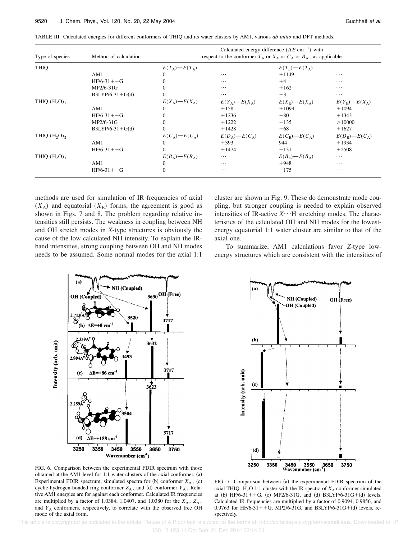| Type of species<br>THIQ    | Method of calculation | Calculated energy difference $(\Delta E \text{ cm}^{-1})$ with<br>respect to the conformer $T_A$ or $X_A$ or $C_A$ or $B_A$ , as applicable |                               |                             |                             |
|----------------------------|-----------------------|---------------------------------------------------------------------------------------------------------------------------------------------|-------------------------------|-----------------------------|-----------------------------|
|                            |                       | $E(T_{\Delta})-E(T_{\Delta})$                                                                                                               |                               | $E(T_{\rm E})-E(T_{\rm A})$ |                             |
|                            | AM1                   | 0                                                                                                                                           | $\cdots$                      | $+1149$                     | $\cdots$                    |
|                            | $HF/6-31++G$          | 0                                                                                                                                           | $\cdots$                      | $+4$                        | $\cdots$                    |
|                            | MP2/6-31G             | 0                                                                                                                                           | $\cdots$                      | $+162$                      | $\cdots$                    |
|                            | $B3LYP/6-31+G(d)$     | 0                                                                                                                                           | $\cdots$                      | $-3$                        | $\cdots$                    |
| THIQ $(H, O)$ <sub>1</sub> |                       | $E(X_\Delta) - E(X_\Delta)$                                                                                                                 | $E(Y_A) - E(X_A)$             | $E(X_{\rm F})-E(X_{\rm A})$ | $E(Y_{\rm E})-E(X_{\rm A})$ |
|                            | AM1                   | $\Omega$                                                                                                                                    | $+158$                        | $+1099$                     | $+1094$                     |
|                            | $HF/6-31++G$          |                                                                                                                                             | $+1236$                       | $-80$                       | $+1343$                     |
|                            | MP2/6-31G             | 0                                                                                                                                           | $+1222$                       | $-135$                      | >10000                      |
|                            | $B3LYP/6-31+G(d)$     | $\Omega$                                                                                                                                    | $+1428$                       | $-68$                       | $+1627$                     |
| THIQ $(H, O)$ ,            |                       | $E(C_{\Delta})-E(C_{\Delta})$                                                                                                               | $E(D_{\Delta})-E(C_{\Delta})$ | $E(C_{\rm E})-E(C_{\rm A})$ | $E(D_{\rm E})-E(C_{\rm A})$ |
|                            | AM1                   | $\Omega$                                                                                                                                    | $+393$                        | 944                         | $+1934$                     |
|                            | $HF/6-31++G$          | $\Omega$                                                                                                                                    | $+1474$                       | $-131$                      | $+2508$                     |
| THIQ $(H2O)3$              |                       | $E(B_A) - E(B_A)$                                                                                                                           | $\cdots$                      | $E(B_F) - E(B_A)$           | $\cdots$                    |
|                            | AM1                   | $\Omega$                                                                                                                                    | $\cdots$                      | $+948$                      | $\cdots$                    |
|                            | $HF/6-31++G$          | $\Omega$                                                                                                                                    | $\cdots$                      | $-175$                      | $\cdots$                    |

TABLE III. Calculated energies for different conformers of THIQ and its water clusters by AM1, various *ab initio* and DFT methods.

methods are used for simulation of IR frequencies of axial  $(X_A)$  and equatorial  $(X_E)$  forms, the agreement is good as shown in Figs. 7 and 8. The problem regarding relative intensities still persists. The weakness in coupling between NH and OH stretch modes in *X*-type structures is obviously the cause of the low calculated NH intensity. To explain the IRband intensities, strong coupling between OH and NH modes needs to be assumed. Some normal modes for the axial 1:1

cluster are shown in Fig. 9. These do demonstrate mode coupling, but stronger coupling is needed to explain observed intensities of IR-active  $X \cdot \cdot \cdot$ H stretching modes. The characteristics of the calculated OH and NH modes for the lowestenergy equatorial 1:1 water cluster are similar to that of the axial one.

To summarize, AM1 calculations favor *Z*-type lowenergy structures which are consistent with the intensities of





FIG. 6. Comparison between the experimental FDIR spectrum with those obtained at the AM1 level for  $1:1$  water clusters of the axial conformer.  $(a)$ Experimental FDIR spectrum, simulated spectra for (b) conformer  $X_A$ , (c) cyclic-hydrogen-bonded ring conformer  $Z_A$ , and (d) conformer  $Y_A$ . Relative AM1 energies are for against each conformer. Calculated IR frequencies are multiplied by a factor of 1.0384, 1.0407, and 1.0380 for the  $X_A$ ,  $Z_A$ , and  $Y_A$  conformers, respectively, to correlate with the observed free OH mode of the axial form.

FIG. 7. Comparison between (a) the experimental FDIR spectrum of the axial THIQ–H<sub>2</sub>O 1:1 cluster with the IR spectra of  $X_A$  conformer simulated at (b) HF/6-31++G, (c) MP2/6-31G, and (d) B3LYP/6-31G+(d) levels. Calculated IR frequencies are multiplied by a factor of 0.9094, 0.9856, and 0.9763 for HF/6-31++G, MP2/6-31G, and B3LYP/6-31G+(d) levels, respectively.

This article is copyrighted as indicated in the article. Reuse of AIP content is subject to the terms at: http://scitation.aip.org/termsconditions. Downloaded to IP:

130.18.123.11 On: Sun, 21 Dec 2014 22:14:31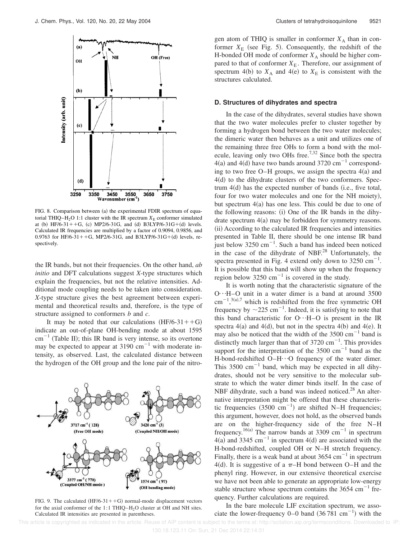

FIG. 8. Comparison between (a) the experimental FDIR spectrum of equatorial THIQ–H<sub>2</sub>O 1:1 cluster with the IR spectrum  $X_E$  conformer simulated at (b) HF/6-31++G, (c) MP2/6-31G, and (d) B3LYP/6-31G+(d) levels. Calculated IR frequencies are multiplied by a factor of 0.9094, 0.9856, and 0.9763 for HF/6-31++G, MP2/6-31G, and B3LYP/6-31G+(d) levels, respectively.

the IR bands, but not their frequencies. On the other hand, *ab initio* and DFT calculations suggest *X*-type structures which explain the frequencies, but not the relative intensities. Additional mode coupling needs to be taken into consideration. *X*-type structure gives the best agreement between experimental and theoretical results and, therefore, is the type of structure assigned to conformers *b* and *c*.

It may be noted that our calculations  $(HF/6-31++G)$ indicate an out-of-plane OH-bending mode at about 1595  $cm^{-1}$  (Table II); this IR band is very intense, so its overtone may be expected to appear at  $3190 \text{ cm}^{-1}$  with moderate intensity, as observed. Last, the calculated distance between the hydrogen of the OH group and the lone pair of the nitro-



FIG. 9. The calculated  $(HF/6-31++G)$  normal-mode displacement vectors for the axial conformer of the 1:1 THIQ– $H<sub>2</sub>O$  cluster at OH and NH sites. Calculated IR intensities are presented in parentheses.

gen atom of THIQ is smaller in conformer  $X_A$  than in conformer  $X_{\rm E}$  (see Fig. 5). Consequently, the redshift of the H-bonded OH mode of conformer  $X_A$  should be higher compared to that of conformer  $X_{\text{E}}$ . Therefore, our assignment of spectrum 4(b) to  $X_A$  and 4(e) to  $X_E$  is consistent with the structures calculated.

#### **D. Structures of dihydrates and spectra**

In the case of the dihydrates, several studies have shown that the two water molecules prefer to cluster together by forming a hydrogen bond between the two water molecules; the dimeric water then behaves as a unit and utilizes one of the remaining three free OHs to form a bond with the molecule, leaving only two OHs free.<sup>7,32</sup> Since both the spectra  $4(a)$  and  $4(d)$  have two bands around 3720 cm<sup>-1</sup> corresponding to two free O–H groups, we assign the spectra  $4(a)$  and  $4(d)$  to the dihydrate clusters of the two conformers. Spectrum  $4(d)$  has the expected number of bands (i.e., five total, four for two water molecules and one for the NH moiety), but spectrum  $4(a)$  has one less. This could be due to one of the following reasons:  $(i)$  One of the IR bands in the dihydrate spectrum  $4(a)$  may be forbidden for symmetry reasons. (ii) According to the calculated IR frequencies and intensities presented in Table II, there should be one intense IR band just below  $3250 \text{ cm}^{-1}$ . Such a band has indeed been noticed in the case of the dihydrate of NBF. $^{28}$  Unfortunately, the spectra presented in Fig. 4 extend only down to  $3250 \text{ cm}^{-1}$ . It is possible that this band will show up when the frequency region below  $3250 \text{ cm}^{-1}$  is covered in the study.

It is worth noting that the characteristic signature of the  $O \cdot H$ –O unit in a water dimer is a band at around 3500  $\text{cm}^{-1}$ ,<sup>3(a),7</sup> which is redshifted from the free symmetric OH frequency by  $\sim$ 225 cm<sup>-1</sup>. Indeed, it is satisfying to note that this band characteristic for O $\cdot \cdot$ H–O is present in the IR spectra  $4(a)$  and  $4(d)$ , but not in the spectra  $4(b)$  and  $4(e)$ . It may also be noticed that the width of the  $3500 \text{ cm}^{-1}$  band is distinctly much larger than that of  $3720 \text{ cm}^{-1}$ . This provides support for the interpretation of the  $3500 \text{ cm}^{-1}$  band as the H-bond-redshifted O–H $\cdot \cdot$ O frequency of the water dimer. This  $3500 \text{ cm}^{-1}$  band, which may be expected in all dihydrates, should not be very sensitive to the molecular substrate to which the water dimer binds itself. In the case of NBF dihydrate, such a band was indeed noticed. $^{28}$  An alternative interpretation might be offered that these characteristic frequencies  $(3500 \text{ cm}^{-1})$  are shifted N–H frequencies; this argument, however, does not hold, as the observed bands are on the higher-frequency side of the free N–H frequency.<sup>16(a)</sup> The narrow bands at 3309 cm<sup>-1</sup> in spectrum  $4(a)$  and 3345 cm<sup>-1</sup> in spectrum  $4(d)$  are associated with the H-bond-redshifted, coupled OH or N–H stretch frequency. Finally, there is a weak band at about  $3654 \text{ cm}^{-1}$  in spectrum 4(d). It is suggestive of a  $\pi$ –H bond between O–H and the phenyl ring. However, in our extensive theoretical exercise we have not been able to generate an appropriate low-energy stable structure whose spectrum contains the 3654 cm<sup>-1</sup> frequency. Further calculations are required.

In the bare molecule LIF excitation spectrum, we associate the lower-frequency 0–0 band  $(36781 \text{ cm}^{-1})$  with the

 This article is copyrighted as indicated in the article. Reuse of AIP content is subject to the terms at: http://scitation.aip.org/termsconditions. Downloaded to IP: 130.18.123.11 On: Sun, 21 Dec 2014 22:14:31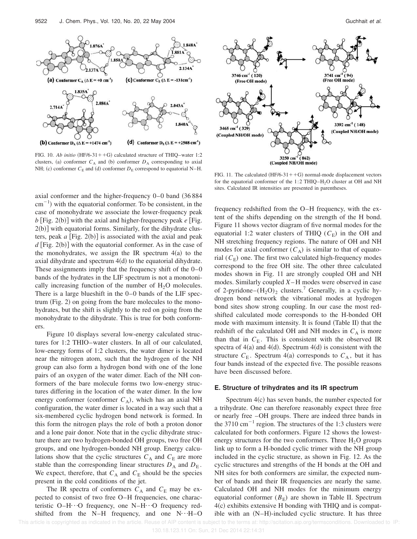

FIG. 10. *Ab initio*  $(HF/6-31++G)$  calculated structure of THIQ–water 1:2 clusters, (a) conformer  $C_A$  and (b) conformer  $D_A$  corresponding to axial NH; (c) conformer  $C_E$  and (d) conformer  $D_E$  correspond to equatorial N–H.

axial conformer and the higher-frequency  $0-0$  band  $(36 884)$  $\text{cm}^{-1}$ ) with the equatorial conformer. To be consistent, in the case of monohydrate we associate the lower-frequency peak  $b$  [Fig. 2(b)] with the axial and higher-frequency peak  $e$  [Fig.  $2(b)$ ] with equatorial forms. Similarly, for the dihydrate clusters, peak  $a$  [Fig. 2(b)] is associated with the axial and peak  $d$  [Fig. 2(b)] with the equatorial conformer. As in the case of the monohydrates, we assign the IR spectrum  $4(a)$  to the axial dihydrate and spectrum  $4(d)$  to the equatorial dihydrate. These assignments imply that the frequency shift of the 0–0 bands of the hydrates in the LIF spectrum is not a monotonically increasing function of the number of  $H<sub>2</sub>O$  molecules. There is a large blueshift in the 0–0 bands of the LIF spec $trum$  (Fig. 2) on going from the bare molecules to the monohydrates, but the shift is slightly to the red on going from the monohydrate to the dihydrate. This is true for both conformers.

Figure 10 displays several low-energy calculated structures for 1:2 THIO–water clusters. In all of our calculated, low-energy forms of 1:2 clusters, the water dimer is located near the nitrogen atom, such that the hydrogen of the NH group can also form a hydrogen bond with one of the lone pairs of an oxygen of the water dimer. Each of the NH conformers of the bare molecule forms two low-energy structures differing in the location of the water dimer. In the low energy conformer (conformer  $C_A$ ), which has an axial NH configuration, the water dimer is located in a way such that a six-membered cyclic hydrogen bond network is formed. In this form the nitrogen plays the role of both a proton donor and a lone pair donor. Note that in the cyclic dihydrate structure there are two hydrogen-bonded OH groups, two free OH groups, and one hydrogen-bonded NH group. Energy calculations show that the cyclic structures  $C_A$  and  $C_E$  are more stable than the corresponding linear structures  $D_A$  and  $D_E$ . We expect, therefore, that  $C_A$  and  $C_E$  should be the species present in the cold conditions of the jet.

The IR spectra of conformers  $C_A$  and  $C_E$  may be expected to consist of two free O–H frequencies, one characteristic O–H $\cdot$ ··O frequency, one N–H $\cdot$ ··O frequency redshifted from the N–H frequency, and one  $N \cdot \cdot H$ –O



FIG. 11. The calculated  $(HF/6-31++G)$  normal-mode displacement vectors for the equatorial conformer of the 1:2 THIQ–H<sub>2</sub>O cluster at OH and NH sites. Calculated IR intensities are presented in parentheses.

frequency redshifted from the O–H frequency, with the extent of the shifts depending on the strength of the H bond. Figure 11 shows vector diagram of five normal modes for the equatorial 1:2 water clusters of THIQ  $(C_F)$  in the OH and NH stretching frequency regions. The nature of OH and NH modes for axial conformer  $(C_A)$  is similar to that of equatorial  $(C_E)$  one. The first two calculated high-frequency modes correspond to the free OH site. The other three calculated modes shown in Fig. 11 are strongly coupled OH and NH modes. Similarly coupled *X*– H modes were observed in case of 2-pyridone– $(H_2O)_2$  clusters.<sup>7</sup> Generally, in a cyclic hydrogen bond network the vibrational modes at hydrogen bond sites show strong coupling. In our case the most redshifted calculated mode corresponds to the H-bonded OH mode with maximum intensity. It is found (Table II) that the redshift of the calculated OH and NH modes in  $C_A$  is more than that in  $C_{\text{E}}$ . This is consistent with the observed IR spectra of  $4(a)$  and  $4(d)$ . Spectrum  $4(d)$  is consistent with the structure  $C_{\text{E}}$ . Spectrum 4(a) corresponds to  $C_A$ , but it has four bands instead of the expected five. The possible reasons have been discussed before.

#### **E. Structure of trihydrates and its IR spectrum**

Spectrum  $4(c)$  has seven bands, the number expected for a trihydrate. One can therefore reasonably expect three free or nearly free –OH groups. There are indeed three bands in the 3710 cm<sup>-1</sup> region. The structures of the 1:3 clusters were calculated for both conformers. Figure 12 shows the lowestenergy structures for the two conformers. Three  $H_2O$  groups link up to form a H-bonded cyclic trimer with the NH group included in the cyclic structure, as shown in Fig. 12. As the cyclic structures and strengths of the H bonds at the OH and NH sites for both conformers are similar, the expected number of bands and their IR frequencies are nearly the same. Calculated OH and NH modes for the minimum energy equatorial conformer  $(B<sub>E</sub>)$  are shown in Table II. Spectrum  $4(c)$  exhibits extensive H bonding with THIQ and is compatible with an  $(N-H)$ -included cyclic structure. It has three